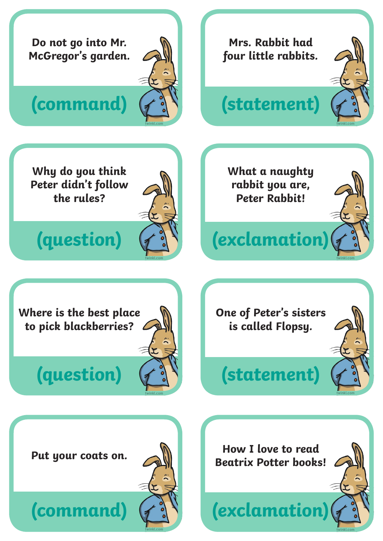

### **(question)**

**twinkl.com**

# **(statement)**

**twinkl.com**

**twinkl.com**

**Put your coats on.** 

**(command)**



**How I love to read Beatrix Potter books!** 

**(exclamation)**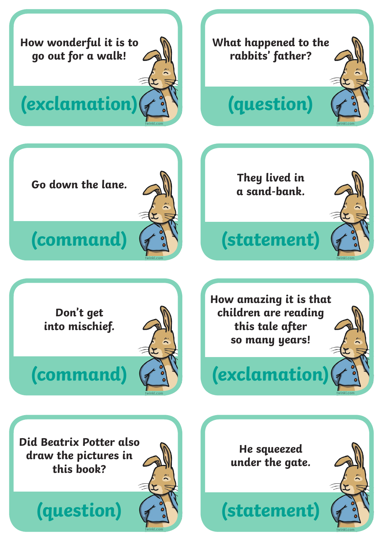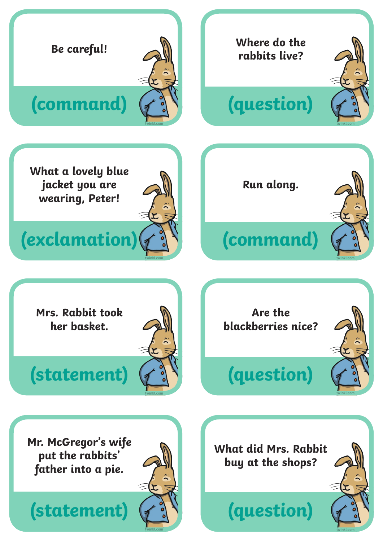

**(statement)**



**(question)**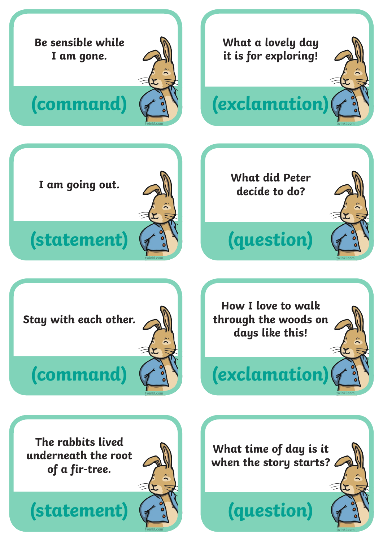

**(statement)**

**twinkl.com**

**(question)**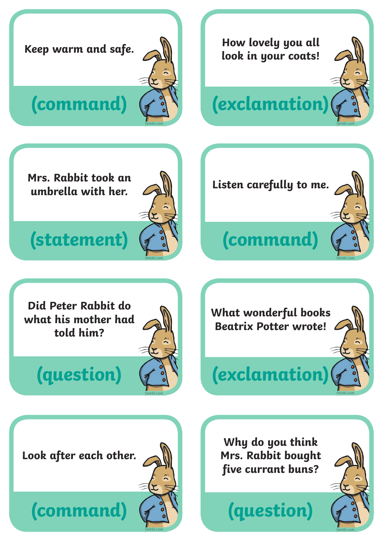**Keep warm and safe.**



#### **(command)**

**Mrs. Rabbit took an umbrella with her.**

#### **(statement)**



**Did Peter Rabbit do what his mother had told him?**

## **(question)**





**(command)**

**Listen carefully to me.**

**(exclamation)**

**How lovely you all** 

**look in your coats!**

# **(exclamation)**

**Look after each other.**

**(command)**

**twinkl.com**

**Why do you think Mrs. Rabbit bought five currant buns?**

**(question)**

**twinkl.com**

**twinkl.com**

**twinkl.com**